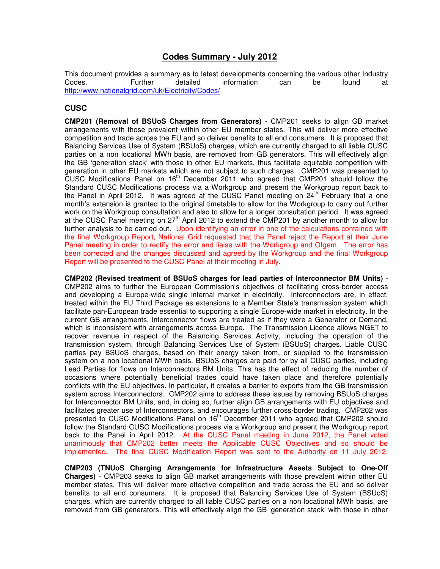# **Codes Summary - July 2012**

This document provides a summary as to latest developments concerning the various other Industry<br>Codes. Concerning the Turther detailed information can be found at Codes. Further detailed information can be found at http://www.nationalgrid.com/uk/Electricity/Codes/

## **CUSC**

**CMP201 (Removal of BSUoS Charges from Generators)** - CMP201 seeks to align GB market arrangements with those prevalent within other EU member states. This will deliver more effective competition and trade across the EU and so deliver benefits to all end consumers. It is proposed that Balancing Services Use of System (BSUoS) charges, which are currently charged to all liable CUSC parties on a non locational MWh basis, are removed from GB generators. This will effectively align the GB 'generation stack' with those in other EU markets, thus facilitate equitable competition with generation in other EU markets which are not subject to such charges. CMP201 was presented to CUSC Modifications Panel on  $16<sup>th</sup>$  December 2011 who agreed that CMP201 should follow the Standard CUSC Modifications process via a Workgroup and present the Workgroup report back to the Panel in April 2012. It was agreed at the CUSC Panel meeting on  $24<sup>th</sup>$  February that a one month's extension is granted to the original timetable to allow for the Workgroup to carry out further work on the Workgroup consultation and also to allow for a longer consultation period. It was agreed at the CUSC Panel meeting on 27th April 2012 to extend the CMP201 by another month to allow for further analysis to be carried out. Upon identifying an error in one of the calculations contained with the final Workgroup Report, National Grid requested that the Panel reject the Report at their June Panel meeting in order to rectify the error and liaise with the Workgroup and Ofgem. The error has been corrected and the changes discussed and agreed by the Workgroup and the final Workgroup Report will be presented to the CUSC Panel at their meeting in July.

**CMP202 (Revised treatment of BSUoS charges for lead parties of Interconnector BM Units)** - CMP202 aims to further the European Commission's objectives of facilitating cross-border access and developing a Europe-wide single internal market in electricity. Interconnectors are, in effect, treated within the EU Third Package as extensions to a Member State's transmission system which facilitate pan-European trade essential to supporting a single Europe-wide market in electricity. In the current GB arrangements, Interconnector flows are treated as if they were a Generator or Demand, which is inconsistent with arrangements across Europe. The Transmission Licence allows NGET to recover revenue in respect of the Balancing Services Activity, including the operation of the transmission system, through Balancing Services Use of System (BSUoS) charges. Liable CUSC parties pay BSUoS charges, based on their energy taken from, or supplied to the transmission system on a non locational MWh basis. BSUoS charges are paid for by all CUSC parties, including Lead Parties for flows on Interconnectors BM Units. This has the effect of reducing the number of occasions where potentially beneficial trades could have taken place and therefore potentially conflicts with the EU objectives. In particular, it creates a barrier to exports from the GB transmission system across Interconnectors. CMP202 aims to address these issues by removing BSUoS charges for Interconnector BM Units, and, in doing so, further align GB arrangements with EU objectives and facilitates greater use of Interconnectors, and encourages further cross-border trading. CMP202 was presented to CUSC Modifications Panel on  $16<sup>th</sup>$  December 2011 who agreed that CMP202 should follow the Standard CUSC Modifications process via a Workgroup and present the Workgroup report back to the Panel in April 2012. At the CUSC Panel meeting in June 2012, the Panel voted unanimously that CMP202 better meets the Applicable CUSC Objectives and so should be implemented. The final CUSC Modification Report was sent to the Authority on 11 July 2012.

**CMP203 (TNUoS Charging Arrangements for Infrastructure Assets Subject to One-Off Charges)** - CMP203 seeks to align GB market arrangements with those prevalent within other EU member states. This will deliver more effective competition and trade across the EU and so deliver benefits to all end consumers. It is proposed that Balancing Services Use of System (BSUoS) charges, which are currently charged to all liable CUSC parties on a non locational MWh basis, are removed from GB generators. This will effectively align the GB 'generation stack' with those in other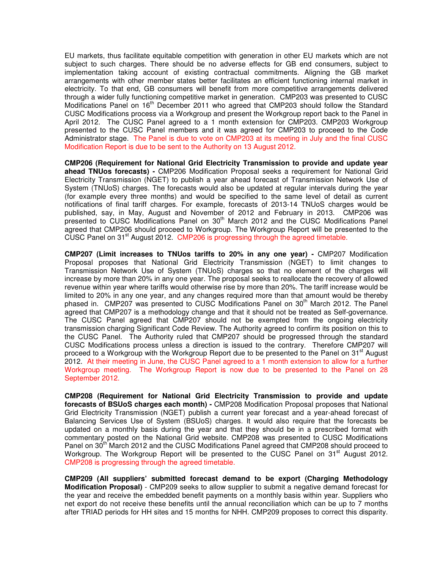EU markets, thus facilitate equitable competition with generation in other EU markets which are not subject to such charges. There should be no adverse effects for GB end consumers, subject to implementation taking account of existing contractual commitments. Aligning the GB market arrangements with other member states better facilitates an efficient functioning internal market in electricity. To that end, GB consumers will benefit from more competitive arrangements delivered through a wider fully functioning competitive market in generation. CMP203 was presented to CUSC Modifications Panel on  $16<sup>th</sup>$  December 2011 who agreed that CMP203 should follow the Standard CUSC Modifications process via a Workgroup and present the Workgroup report back to the Panel in April 2012. The CUSC Panel agreed to a 1 month extension for CMP203. CMP203 Workgroup presented to the CUSC Panel members and it was agreed for CMP203 to proceed to the Code Administrator stage. The Panel is due to vote on CMP203 at its meeting in July and the final CUSC Modification Report is due to be sent to the Authority on 13 August 2012.

**CMP206 (Requirement for National Grid Electricity Transmission to provide and update year ahead TNUos forecasts) -** CMP206 Modification Proposal seeks a requirement for National Grid Electricity Transmission (NGET) to publish a year ahead forecast of Transmission Network Use of System (TNUoS) charges. The forecasts would also be updated at regular intervals during the year (for example every three months) and would be specified to the same level of detail as current notifications of final tariff charges. For example, forecasts of 2013-14 TNUoS charges would be published, say, in May, August and November of 2012 and February in 2013. CMP206 was presented to CUSC Modifications Panel on 30<sup>th</sup> March 2012 and the CUSC Modifications Panel agreed that CMP206 should proceed to Workgroup. The Workgroup Report will be presented to the CUSC Panel on 31<sup>st</sup> August 2012. CMP206 is progressing through the agreed timetable.

**CMP207 (Limit increases to TNUos tariffs to 20% in any one year) -** CMP207 Modification Proposal proposes that National Grid Electricity Transmission (NGET) to limit changes to Transmission Network Use of System (TNUoS) charges so that no element of the charges will increase by more than 20% in any one year. The proposal seeks to reallocate the recovery of allowed revenue within year where tariffs would otherwise rise by more than 20%. The tariff increase would be limited to 20% in any one year, and any changes required more than that amount would be thereby phased in. CMP207 was presented to CUSC Modifications Panel on 30<sup>th</sup> March 2012. The Panel agreed that CMP207 is a methodology change and that it should not be treated as Self-governance. The CUSC Panel agreed that CMP207 should not be exempted from the ongoing electricity transmission charging Significant Code Review. The Authority agreed to confirm its position on this to the CUSC Panel. The Authority ruled that CMP207 should be progressed through the standard CUSC Modifications process unless a direction is issued to the contrary. Therefore CMP207 will proceed to a Workgroup with the Workgroup Report due to be presented to the Panel on 31<sup>st</sup> August 2012. At their meeting in June, the CUSC Panel agreed to a 1 month extension to allow for a further Workgroup meeting. The Workgroup Report is now due to be presented to the Panel on 28 September 2012.

**CMP208 (Requirement for National Grid Electricity Transmission to provide and update forecasts of BSUoS charges each month) -** CMP208 Modification Proposal proposes that National Grid Electricity Transmission (NGET) publish a current year forecast and a year-ahead forecast of Balancing Services Use of System (BSUoS) charges. It would also require that the forecasts be updated on a monthly basis during the year and that they should be in a prescribed format with commentary posted on the National Grid website. CMP208 was presented to CUSC Modifications Panel on 30<sup>th</sup> March 2012 and the CUSC Modifications Panel agreed that CMP208 should proceed to Workgroup. The Workgroup Report will be presented to the CUSC Panel on  $31<sup>st</sup>$  August 2012. CMP208 is progressing through the agreed timetable.

**CMP209 (All suppliers' submitted forecast demand to be export (Charging Methodology Modification Proposal)** - CMP209 seeks to allow supplier to submit a negative demand forecast for the year and receive the embedded benefit payments on a monthly basis within year. Suppliers who net export do not receive these benefits until the annual reconciliation which can be up to 7 months after TRIAD periods for HH sites and 15 months for NHH. CMP209 proposes to correct this disparity.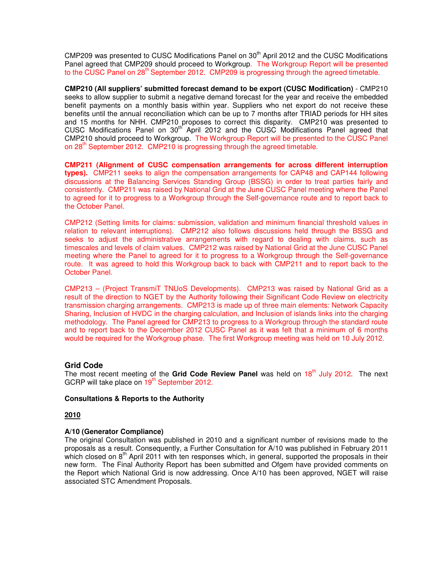CMP209 was presented to CUSC Modifications Panel on 30<sup>th</sup> April 2012 and the CUSC Modifications Panel agreed that CMP209 should proceed to Workgroup. The Workgroup Report will be presented to the CUSC Panel on  $28<sup>th</sup>$  September 2012. CMP209 is progressing through the agreed timetable.

**CMP210 (All suppliers' submitted forecast demand to be export (CUSC Modification)** - CMP210 seeks to allow supplier to submit a negative demand forecast for the year and receive the embedded benefit payments on a monthly basis within year. Suppliers who net export do not receive these benefits until the annual reconciliation which can be up to 7 months after TRIAD periods for HH sites and 15 months for NHH. CMP210 proposes to correct this disparity. CMP210 was presented to CUSC Modifications Panel on 30<sup>th</sup> April 2012 and the CUSC Modifications Panel agreed that CMP210 should proceed to Workgroup. The Workgroup Report will be presented to the CUSC Panel on  $28<sup>th</sup>$  September 2012. CMP210 is progressing through the agreed timetable.

**CMP211 (Alignment of CUSC compensation arrangements for across different interruption types).** CMP211 seeks to align the compensation arrangements for CAP48 and CAP144 following discussions at the Balancing Services Standing Group (BSSG) in order to treat parties fairly and consistently. CMP211 was raised by National Grid at the June CUSC Panel meeting where the Panel to agreed for it to progress to a Workgroup through the Self-governance route and to report back to the October Panel.

CMP212 (Setting limits for claims: submission, validation and minimum financial threshold values in relation to relevant interruptions). CMP212 also follows discussions held through the BSSG and seeks to adjust the administrative arrangements with regard to dealing with claims, such as timescales and levels of claim values. CMP212 was raised by National Grid at the June CUSC Panel meeting where the Panel to agreed for it to progress to a Workgroup through the Self-governance route. It was agreed to hold this Workgroup back to back with CMP211 and to report back to the October Panel.

CMP213 – (Project TransmiT TNUoS Developments). CMP213 was raised by National Grid as a result of the direction to NGET by the Authority following their Significant Code Review on electricity transmission charging arrangements. CMP213 is made up of three main elements: Network Capacity Sharing, Inclusion of HVDC in the charging calculation, and Inclusion of islands links into the charging methodology. The Panel agreed for CMP213 to progress to a Workgroup through the standard route and to report back to the December 2012 CUSC Panel as it was felt that a minimum of 6 months would be required for the Workgroup phase. The first Workgroup meeting was held on 10 July 2012.

## **Grid Code**

The most recent meeting of the Grid Code Review Panel was held on 18<sup>th</sup> July 2012. The next GCRP will take place on  $19<sup>th</sup>$  September 2012.

## **Consultations & Reports to the Authority**

## **2010**

## **A/10 (Generator Compliance)**

The original Consultation was published in 2010 and a significant number of revisions made to the proposals as a result. Consequently, a Further Consultation for A/10 was published in February 2011 which closed on  $8<sup>th</sup>$  April 2011 with ten responses which, in general, supported the proposals in their new form. The Final Authority Report has been submitted and Ofgem have provided comments on the Report which National Grid is now addressing. Once A/10 has been approved, NGET will raise associated STC Amendment Proposals.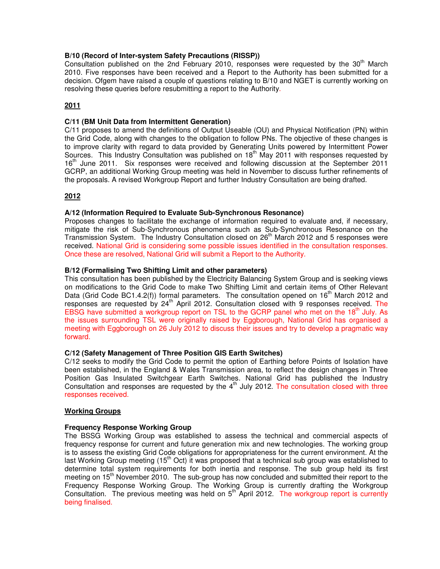## **B/10 (Record of Inter-system Safety Precautions (RISSP))**

Consultation published on the 2nd February 2010, responses were requested by the 30<sup>th</sup> March 2010. Five responses have been received and a Report to the Authority has been submitted for a decision. Ofgem have raised a couple of questions relating to B/10 and NGET is currently working on resolving these queries before resubmitting a report to the Authority.

## **2011**

## **C/11 (BM Unit Data from Intermittent Generation)**

C/11 proposes to amend the definitions of Output Useable (OU) and Physical Notification (PN) within the Grid Code, along with changes to the obligation to follow PNs. The objective of these changes is to improve clarity with regard to data provided by Generating Units powered by Intermittent Power Sources. This Industry Consultation was published on 18<sup>th</sup> May 2011 with responses requested by 16<sup>th</sup> June 2011. Six responses were received and following discussion at the September 2011 GCRP, an additional Working Group meeting was held in November to discuss further refinements of the proposals. A revised Workgroup Report and further Industry Consultation are being drafted.

## **2012**

## **A/12 (Information Required to Evaluate Sub-Synchronous Resonance)**

Proposes changes to facilitate the exchange of information required to evaluate and, if necessary, mitigate the risk of Sub-Synchronous phenomena such as Sub-Synchronous Resonance on the Transmission System. The Industry Consultation closed on  $26<sup>th</sup>$  March 2012 and 5 responses were received. National Grid is considering some possible issues identified in the consultation responses. Once these are resolved, National Grid will submit a Report to the Authority.

## **B/12 (Formalising Two Shifting Limit and other parameters)**

This consultation has been published by the Electricity Balancing System Group and is seeking views on modifications to the Grid Code to make Two Shifting Limit and certain items of Other Relevant Data (Grid Code BC1.4.2(f)) formal parameters. The consultation opened on  $16<sup>th</sup>$  March 2012 and responses are requested by 24<sup>th</sup> April 2012. Consultation closed with 9 responses received. The EBSG have submitted a workgroup report on TSL to the GCRP panel who met on the 18<sup>th</sup> July. As the issues surrounding TSL were originally raised by Eggborough, National Grid has organised a meeting with Eggborough on 26 July 2012 to discuss their issues and try to develop a pragmatic way forward.

## **C/12 (Safety Management of Three Position GIS Earth Switches)**

C/12 seeks to modify the Grid Code to permit the option of Earthing before Points of Isolation have been established, in the England & Wales Transmission area, to reflect the design changes in Three Position Gas Insulated Switchgear Earth Switches. National Grid has published the Industry Consultation and responses are requested by the  $4<sup>th</sup>$  July 2012. The consultation closed with three responses received.

## **Working Groups**

## **Frequency Response Working Group**

The BSSG Working Group was established to assess the technical and commercial aspects of frequency response for current and future generation mix and new technologies. The working group is to assess the existing Grid Code obligations for appropriateness for the current environment. At the last Working Group meeting (15<sup>th</sup> Oct) it was proposed that a technical sub group was established to determine total system requirements for both inertia and response. The sub group held its first meeting on 15<sup>th</sup> November 2010. The sub-group has now concluded and submitted their report to the Frequency Response Working Group. The Working Group is currently drafting the Workgroup Consultation. The previous meeting was held on  $5<sup>th</sup>$  April 2012. The workgroup report is currently being finalised.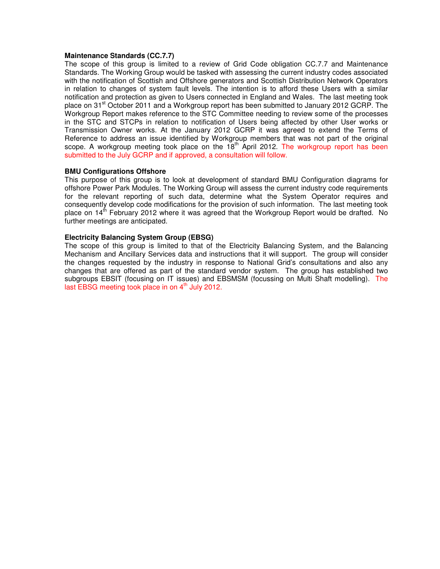#### **Maintenance Standards (CC.7.7)**

The scope of this group is limited to a review of Grid Code obligation CC.7.7 and Maintenance Standards. The Working Group would be tasked with assessing the current industry codes associated with the notification of Scottish and Offshore generators and Scottish Distribution Network Operators in relation to changes of system fault levels. The intention is to afford these Users with a similar notification and protection as given to Users connected in England and Wales. The last meeting took place on 31<sup>st</sup> October 2011 and a Workgroup report has been submitted to January 2012 GCRP. The Workgroup Report makes reference to the STC Committee needing to review some of the processes in the STC and STCPs in relation to notification of Users being affected by other User works or Transmission Owner works. At the January 2012 GCRP it was agreed to extend the Terms of Reference to address an issue identified by Workgroup members that was not part of the original scope. A workgroup meeting took place on the  $18<sup>th</sup>$  April 2012. The workgroup report has been submitted to the July GCRP and if approved, a consultation will follow.

#### **BMU Configurations Offshore**

This purpose of this group is to look at development of standard BMU Configuration diagrams for offshore Power Park Modules. The Working Group will assess the current industry code requirements for the relevant reporting of such data, determine what the System Operator requires and consequently develop code modifications for the provision of such information. The last meeting took place on  $14<sup>th</sup>$  February 2012 where it was agreed that the Workgroup Report would be drafted. No further meetings are anticipated.

#### **Electricity Balancing System Group (EBSG)**

The scope of this group is limited to that of the Electricity Balancing System, and the Balancing Mechanism and Ancillary Services data and instructions that it will support. The group will consider the changes requested by the industry in response to National Grid's consultations and also any changes that are offered as part of the standard vendor system. The group has established two subgroups EBSIT (focusing on IT issues) and EBSMSM (focussing on Multi Shaft modelling). The last EBSG meeting took place in on  $4<sup>th</sup>$  July 2012.